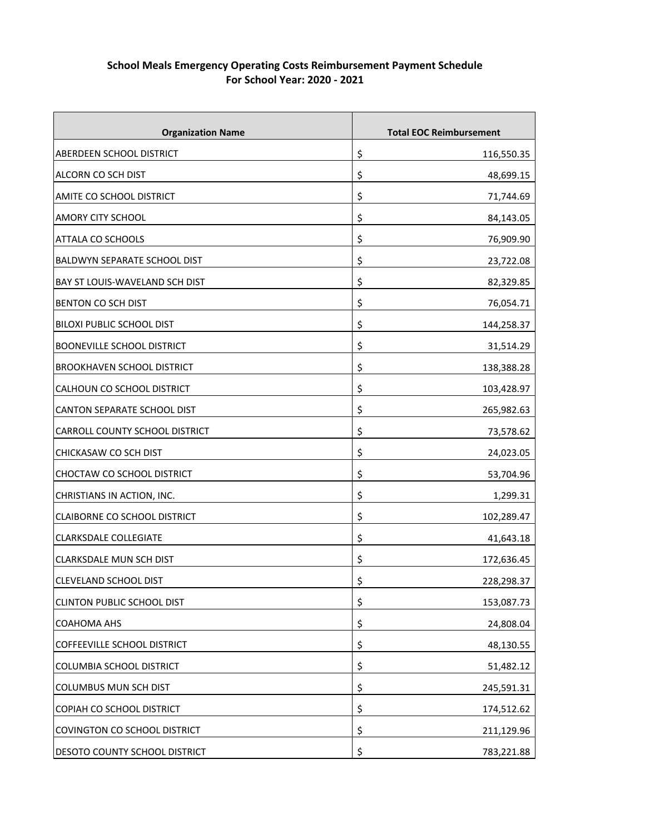| <b>Organization Name</b>            | <b>Total EOC Reimbursement</b> |
|-------------------------------------|--------------------------------|
| ABERDEEN SCHOOL DISTRICT            | \$<br>116,550.35               |
| ALCORN CO SCH DIST                  | \$<br>48,699.15                |
| AMITE CO SCHOOL DISTRICT            | \$<br>71,744.69                |
| AMORY CITY SCHOOL                   | \$<br>84,143.05                |
| ATTALA CO SCHOOLS                   | \$<br>76,909.90                |
| <b>BALDWYN SEPARATE SCHOOL DIST</b> | \$<br>23,722.08                |
| BAY ST LOUIS-WAVELAND SCH DIST      | \$<br>82,329.85                |
| <b>BENTON CO SCH DIST</b>           | \$<br>76,054.71                |
| <b>BILOXI PUBLIC SCHOOL DIST</b>    | \$<br>144,258.37               |
| <b>BOONEVILLE SCHOOL DISTRICT</b>   | \$<br>31,514.29                |
| <b>BROOKHAVEN SCHOOL DISTRICT</b>   | \$<br>138,388.28               |
| CALHOUN CO SCHOOL DISTRICT          | \$<br>103,428.97               |
| CANTON SEPARATE SCHOOL DIST         | \$<br>265,982.63               |
| CARROLL COUNTY SCHOOL DISTRICT      | \$<br>73,578.62                |
| CHICKASAW CO SCH DIST               | \$<br>24,023.05                |
| CHOCTAW CO SCHOOL DISTRICT          | \$<br>53,704.96                |
| CHRISTIANS IN ACTION, INC.          | \$<br>1,299.31                 |
| <b>CLAIBORNE CO SCHOOL DISTRICT</b> | \$<br>102,289.47               |
| <b>CLARKSDALE COLLEGIATE</b>        | \$<br>41,643.18                |
| CLARKSDALE MUN SCH DIST             | \$<br>172,636.45               |
| CLEVELAND SCHOOL DIST               | \$<br>228,298.37               |
| <b>CLINTON PUBLIC SCHOOL DIST</b>   | \$<br>153,087.73               |
| COAHOMA AHS                         | \$<br>24,808.04                |
| COFFEEVILLE SCHOOL DISTRICT         | \$<br>48,130.55                |
| COLUMBIA SCHOOL DISTRICT            | \$<br>51,482.12                |
| <b>COLUMBUS MUN SCH DIST</b>        | \$<br>245,591.31               |
| COPIAH CO SCHOOL DISTRICT           | \$<br>174,512.62               |
| COVINGTON CO SCHOOL DISTRICT        | \$<br>211,129.96               |
| DESOTO COUNTY SCHOOL DISTRICT       | \$<br>783,221.88               |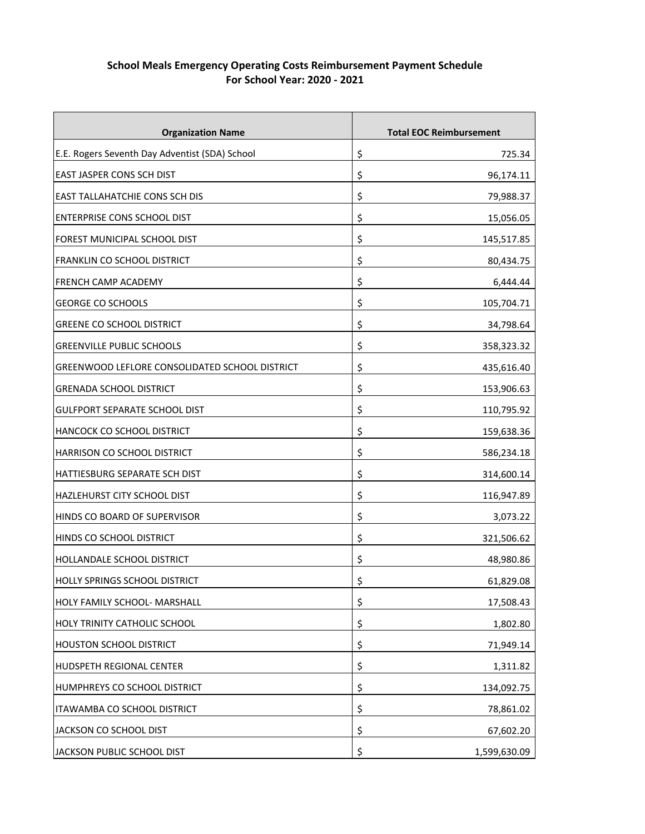| <b>Organization Name</b>                       |    | <b>Total EOC Reimbursement</b> |
|------------------------------------------------|----|--------------------------------|
| E.E. Rogers Seventh Day Adventist (SDA) School | \$ | 725.34                         |
| EAST JASPER CONS SCH DIST                      | \$ | 96,174.11                      |
| <b>EAST TALLAHATCHIE CONS SCH DIS</b>          | \$ | 79,988.37                      |
| ENTERPRISE CONS SCHOOL DIST                    | \$ | 15,056.05                      |
| FOREST MUNICIPAL SCHOOL DIST                   | \$ | 145,517.85                     |
| <b>FRANKLIN CO SCHOOL DISTRICT</b>             | Ş  | 80,434.75                      |
| FRENCH CAMP ACADEMY                            | \$ | 6,444.44                       |
| <b>GEORGE CO SCHOOLS</b>                       | \$ | 105,704.71                     |
| <b>GREENE CO SCHOOL DISTRICT</b>               | \$ | 34,798.64                      |
| <b>GREENVILLE PUBLIC SCHOOLS</b>               | \$ | 358,323.32                     |
| GREENWOOD LEFLORE CONSOLIDATED SCHOOL DISTRICT | \$ | 435,616.40                     |
| <b>GRENADA SCHOOL DISTRICT</b>                 | \$ | 153,906.63                     |
| <b>GULFPORT SEPARATE SCHOOL DIST</b>           | \$ | 110,795.92                     |
| HANCOCK CO SCHOOL DISTRICT                     | \$ | 159,638.36                     |
| HARRISON CO SCHOOL DISTRICT                    | \$ | 586,234.18                     |
| HATTIESBURG SEPARATE SCH DIST                  | \$ | 314,600.14                     |
| HAZLEHURST CITY SCHOOL DIST                    | \$ | 116,947.89                     |
| HINDS CO BOARD OF SUPERVISOR                   | \$ | 3,073.22                       |
| HINDS CO SCHOOL DISTRICT                       | Ş  | 321,506.62                     |
| <b>HOLLANDALE SCHOOL DISTRICT</b>              | \$ | 48,980.86                      |
| HOLLY SPRINGS SCHOOL DISTRICT                  | \$ | 61,829.08                      |
| HOLY FAMILY SCHOOL- MARSHALL                   | \$ | 17,508.43                      |
| HOLY TRINITY CATHOLIC SCHOOL                   | \$ | 1,802.80                       |
| <b>HOUSTON SCHOOL DISTRICT</b>                 | \$ | 71,949.14                      |
| HUDSPETH REGIONAL CENTER                       | \$ | 1,311.82                       |
| HUMPHREYS CO SCHOOL DISTRICT                   | \$ | 134,092.75                     |
| ITAWAMBA CO SCHOOL DISTRICT                    | \$ | 78,861.02                      |
| JACKSON CO SCHOOL DIST                         | \$ | 67,602.20                      |
| JACKSON PUBLIC SCHOOL DIST                     | \$ | 1,599,630.09                   |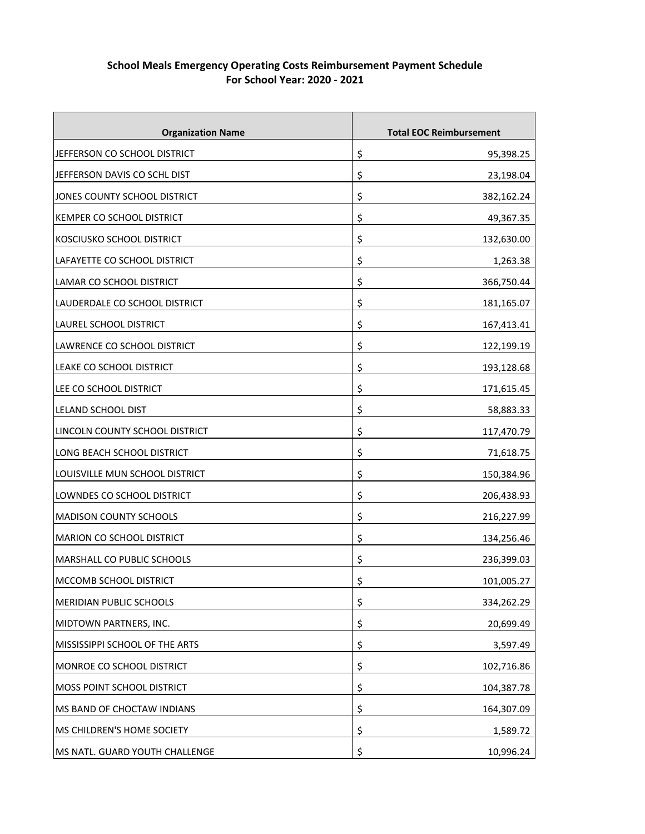| <b>Organization Name</b>         | <b>Total EOC Reimbursement</b> |
|----------------------------------|--------------------------------|
| JEFFERSON CO SCHOOL DISTRICT     | \$<br>95,398.25                |
| JEFFERSON DAVIS CO SCHL DIST     | \$<br>23,198.04                |
| JONES COUNTY SCHOOL DISTRICT     | \$<br>382,162.24               |
| KEMPER CO SCHOOL DISTRICT        | \$<br>49,367.35                |
| KOSCIUSKO SCHOOL DISTRICT        | \$<br>132,630.00               |
| LAFAYETTE CO SCHOOL DISTRICT     | \$<br>1,263.38                 |
| LAMAR CO SCHOOL DISTRICT         | \$<br>366,750.44               |
| LAUDERDALE CO SCHOOL DISTRICT    | \$<br>181,165.07               |
| LAUREL SCHOOL DISTRICT           | \$<br>167,413.41               |
| LAWRENCE CO SCHOOL DISTRICT      | \$<br>122,199.19               |
| LEAKE CO SCHOOL DISTRICT         | \$<br>193,128.68               |
| LEE CO SCHOOL DISTRICT           | \$<br>171,615.45               |
| LELAND SCHOOL DIST               | \$<br>58,883.33                |
| LINCOLN COUNTY SCHOOL DISTRICT   | \$<br>117,470.79               |
| LONG BEACH SCHOOL DISTRICT       | \$<br>71,618.75                |
| LOUISVILLE MUN SCHOOL DISTRICT   | \$<br>150,384.96               |
| LOWNDES CO SCHOOL DISTRICT       | \$<br>206,438.93               |
| <b>MADISON COUNTY SCHOOLS</b>    | \$<br>216,227.99               |
| <b>MARION CO SCHOOL DISTRICT</b> | \$<br>134,256.46               |
| MARSHALL CO PUBLIC SCHOOLS       | \$<br>236,399.03               |
| MCCOMB SCHOOL DISTRICT           | \$<br>101,005.27               |
| MERIDIAN PUBLIC SCHOOLS          | \$<br>334,262.29               |
| MIDTOWN PARTNERS, INC.           | \$<br>20,699.49                |
| MISSISSIPPI SCHOOL OF THE ARTS   | \$<br>3,597.49                 |
| MONROE CO SCHOOL DISTRICT        | \$<br>102,716.86               |
| MOSS POINT SCHOOL DISTRICT       | \$<br>104,387.78               |
| MS BAND OF CHOCTAW INDIANS       | \$<br>164,307.09               |
| MS CHILDREN'S HOME SOCIETY       | \$<br>1,589.72                 |
| MS NATL. GUARD YOUTH CHALLENGE   | \$<br>10,996.24                |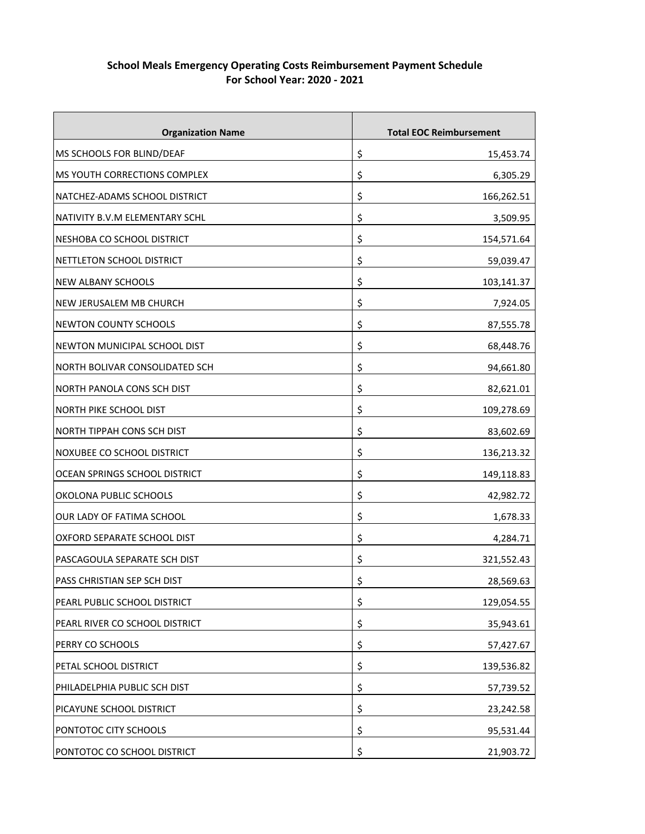| <b>Organization Name</b>           |    | <b>Total EOC Reimbursement</b> |
|------------------------------------|----|--------------------------------|
| MS SCHOOLS FOR BLIND/DEAF          | \$ | 15,453.74                      |
| MS YOUTH CORRECTIONS COMPLEX       | \$ | 6,305.29                       |
| NATCHEZ-ADAMS SCHOOL DISTRICT      | Ş  | 166,262.51                     |
| NATIVITY B.V.M ELEMENTARY SCHL     | \$ | 3,509.95                       |
| NESHOBA CO SCHOOL DISTRICT         | \$ | 154,571.64                     |
| NETTLETON SCHOOL DISTRICT          | \$ | 59,039.47                      |
| <b>NEW ALBANY SCHOOLS</b>          | \$ | 103,141.37                     |
| <b>NEW JERUSALEM MB CHURCH</b>     | \$ | 7,924.05                       |
| <b>NEWTON COUNTY SCHOOLS</b>       | \$ | 87,555.78                      |
| NEWTON MUNICIPAL SCHOOL DIST       | \$ | 68,448.76                      |
| NORTH BOLIVAR CONSOLIDATED SCH     | \$ | 94,661.80                      |
| NORTH PANOLA CONS SCH DIST         | \$ | 82,621.01                      |
| <b>NORTH PIKE SCHOOL DIST</b>      | \$ | 109,278.69                     |
| <b>NORTH TIPPAH CONS SCH DIST</b>  | \$ | 83,602.69                      |
| NOXUBEE CO SCHOOL DISTRICT         | \$ | 136,213.32                     |
| OCEAN SPRINGS SCHOOL DISTRICT      | \$ | 149,118.83                     |
| OKOLONA PUBLIC SCHOOLS             | \$ | 42,982.72                      |
| OUR LADY OF FATIMA SCHOOL          | \$ | 1,678.33                       |
| OXFORD SEPARATE SCHOOL DIST        | \$ | 4,284.71                       |
| PASCAGOULA SEPARATE SCH DIST       | \$ | 321,552.43                     |
| <b>PASS CHRISTIAN SEP SCH DIST</b> | \$ | 28,569.63                      |
| PEARL PUBLIC SCHOOL DISTRICT       | \$ | 129,054.55                     |
| PEARL RIVER CO SCHOOL DISTRICT     | \$ | 35,943.61                      |
| PERRY CO SCHOOLS                   | \$ | 57,427.67                      |
| PETAL SCHOOL DISTRICT              | \$ | 139,536.82                     |
| PHILADELPHIA PUBLIC SCH DIST       | \$ | 57,739.52                      |
| PICAYUNE SCHOOL DISTRICT           | \$ | 23,242.58                      |
| PONTOTOC CITY SCHOOLS              | \$ | 95,531.44                      |
| PONTOTOC CO SCHOOL DISTRICT        | \$ | 21,903.72                      |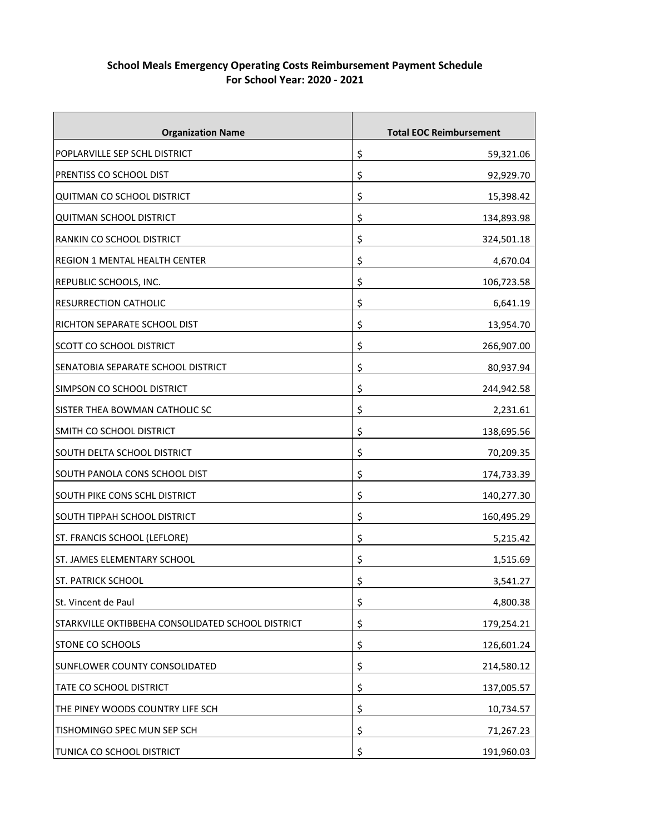| <b>Organization Name</b>                          |    | <b>Total EOC Reimbursement</b> |
|---------------------------------------------------|----|--------------------------------|
| POPLARVILLE SEP SCHL DISTRICT                     | \$ | 59,321.06                      |
| PRENTISS CO SCHOOL DIST                           | \$ | 92,929.70                      |
| <b>QUITMAN CO SCHOOL DISTRICT</b>                 | Ş  | 15,398.42                      |
| <b>QUITMAN SCHOOL DISTRICT</b>                    | \$ | 134,893.98                     |
| <b>RANKIN CO SCHOOL DISTRICT</b>                  | \$ | 324,501.18                     |
| REGION 1 MENTAL HEALTH CENTER                     | \$ | 4,670.04                       |
| REPUBLIC SCHOOLS, INC.                            | \$ | 106,723.58                     |
| <b>RESURRECTION CATHOLIC</b>                      | \$ | 6,641.19                       |
| RICHTON SEPARATE SCHOOL DIST                      | \$ | 13,954.70                      |
| <b>SCOTT CO SCHOOL DISTRICT</b>                   | \$ | 266,907.00                     |
| SENATOBIA SEPARATE SCHOOL DISTRICT                | \$ | 80,937.94                      |
| SIMPSON CO SCHOOL DISTRICT                        | \$ | 244,942.58                     |
| SISTER THEA BOWMAN CATHOLIC SC                    | \$ | 2,231.61                       |
| SMITH CO SCHOOL DISTRICT                          | \$ | 138,695.56                     |
| SOUTH DELTA SCHOOL DISTRICT                       | \$ | 70,209.35                      |
| SOUTH PANOLA CONS SCHOOL DIST                     | \$ | 174,733.39                     |
| SOUTH PIKE CONS SCHL DISTRICT                     | \$ | 140,277.30                     |
| SOUTH TIPPAH SCHOOL DISTRICT                      | \$ | 160,495.29                     |
| ST. FRANCIS SCHOOL (LEFLORE)                      | \$ | 5,215.42                       |
| <b>ST. JAMES ELEMENTARY SCHOOL</b>                | \$ | 1,515.69                       |
| <b>ST. PATRICK SCHOOL</b>                         | \$ | 3,541.27                       |
| St. Vincent de Paul                               | \$ | 4,800.38                       |
| STARKVILLE OKTIBBEHA CONSOLIDATED SCHOOL DISTRICT | \$ | 179,254.21                     |
| STONE CO SCHOOLS                                  | \$ | 126,601.24                     |
| SUNFLOWER COUNTY CONSOLIDATED                     | \$ | 214,580.12                     |
| TATE CO SCHOOL DISTRICT                           | \$ | 137,005.57                     |
| THE PINEY WOODS COUNTRY LIFE SCH                  | \$ | 10,734.57                      |
| TISHOMINGO SPEC MUN SEP SCH                       | \$ | 71,267.23                      |
| TUNICA CO SCHOOL DISTRICT                         | \$ | 191,960.03                     |